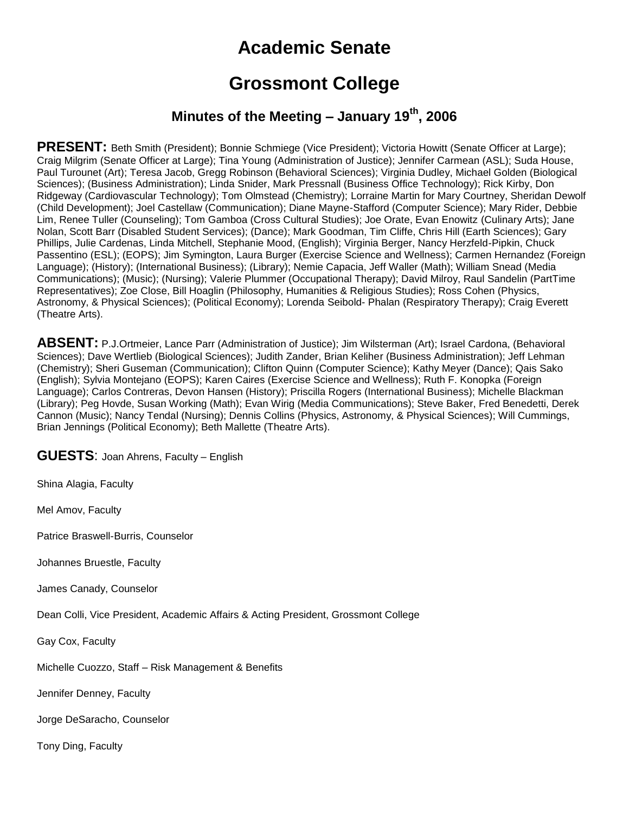# **Academic Senate**

## **Grossmont College**

## **Minutes of the Meeting – January 19th, 2006**

PRESENT: Beth Smith (President); Bonnie Schmiege (Vice President); Victoria Howitt (Senate Officer at Large); Craig Milgrim (Senate Officer at Large); Tina Young (Administration of Justice); Jennifer Carmean (ASL); Suda House, Paul Turounet (Art); Teresa Jacob, Gregg Robinson (Behavioral Sciences); Virginia Dudley, Michael Golden (Biological Sciences); (Business Administration); Linda Snider, Mark Pressnall (Business Office Technology); Rick Kirby, Don Ridgeway (Cardiovascular Technology); Tom Olmstead (Chemistry); Lorraine Martin for Mary Courtney, Sheridan Dewolf (Child Development); Joel Castellaw (Communication); Diane Mayne-Stafford (Computer Science); Mary Rider, Debbie Lim, Renee Tuller (Counseling); Tom Gamboa (Cross Cultural Studies); Joe Orate, Evan Enowitz (Culinary Arts); Jane Nolan, Scott Barr (Disabled Student Services); (Dance); Mark Goodman, Tim Cliffe, Chris Hill (Earth Sciences); Gary Phillips, Julie Cardenas, Linda Mitchell, Stephanie Mood, (English); Virginia Berger, Nancy Herzfeld-Pipkin, Chuck Passentino (ESL); (EOPS); Jim Symington, Laura Burger (Exercise Science and Wellness); Carmen Hernandez (Foreign Language); (History); (International Business); (Library); Nemie Capacia, Jeff Waller (Math); William Snead (Media Communications); (Music); (Nursing); Valerie Plummer (Occupational Therapy); David Milroy, Raul Sandelin (PartTime Representatives); Zoe Close, Bill Hoaglin (Philosophy, Humanities & Religious Studies); Ross Cohen (Physics, Astronomy, & Physical Sciences); (Political Economy); Lorenda Seibold- Phalan (Respiratory Therapy); Craig Everett (Theatre Arts).

**ABSENT:** P.J.Ortmeier, Lance Parr (Administration of Justice); Jim Wilsterman (Art); Israel Cardona, (Behavioral Sciences); Dave Wertlieb (Biological Sciences); Judith Zander, Brian Keliher (Business Administration); Jeff Lehman (Chemistry); Sheri Guseman (Communication); Clifton Quinn (Computer Science); Kathy Meyer (Dance); Qais Sako (English); Sylvia Montejano (EOPS); Karen Caires (Exercise Science and Wellness); Ruth F. Konopka (Foreign Language); Carlos Contreras, Devon Hansen (History); Priscilla Rogers (International Business); Michelle Blackman (Library); Peg Hovde, Susan Working (Math); Evan Wirig (Media Communications); Steve Baker, Fred Benedetti, Derek Cannon (Music); Nancy Tendal (Nursing); Dennis Collins (Physics, Astronomy, & Physical Sciences); Will Cummings, Brian Jennings (Political Economy); Beth Mallette (Theatre Arts).

**GUESTS**: Joan Ahrens, Faculty – English

Shina Alagia, Faculty

Mel Amov, Faculty

Patrice Braswell-Burris, Counselor

Johannes Bruestle, Faculty

James Canady, Counselor

Dean Colli, Vice President, Academic Affairs & Acting President, Grossmont College

Gay Cox, Faculty

Michelle Cuozzo, Staff – Risk Management & Benefits

Jennifer Denney, Faculty

Jorge DeSaracho, Counselor

Tony Ding, Faculty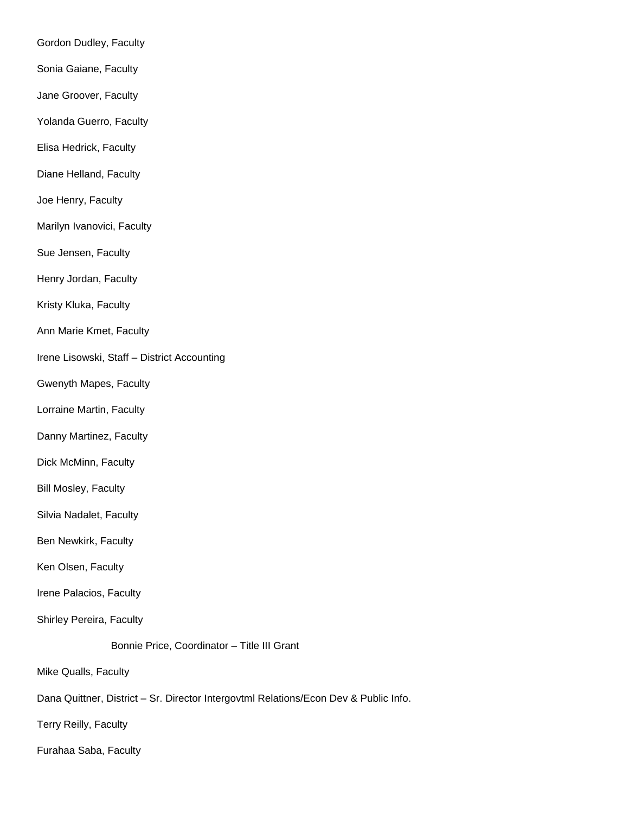Gordon Dudley, Faculty

- Sonia Gaiane, Faculty
- Jane Groover, Faculty

Yolanda Guerro, Faculty

- Elisa Hedrick, Faculty
- Diane Helland, Faculty
- Joe Henry, Faculty
- Marilyn Ivanovici, Faculty
- Sue Jensen, Faculty
- Henry Jordan, Faculty
- Kristy Kluka, Faculty
- Ann Marie Kmet, Faculty
- Irene Lisowski, Staff District Accounting
- Gwenyth Mapes, Faculty
- Lorraine Martin, Faculty
- Danny Martinez, Faculty
- Dick McMinn, Faculty
- Bill Mosley, Faculty
- Silvia Nadalet, Faculty
- Ben Newkirk, Faculty
- Ken Olsen, Faculty
- Irene Palacios, Faculty
- Shirley Pereira, Faculty
	- Bonnie Price, Coordinator Title III Grant
- Mike Qualls, Faculty
- Dana Quittner, District Sr. Director Intergovtml Relations/Econ Dev & Public Info.
- Terry Reilly, Faculty
- Furahaa Saba, Faculty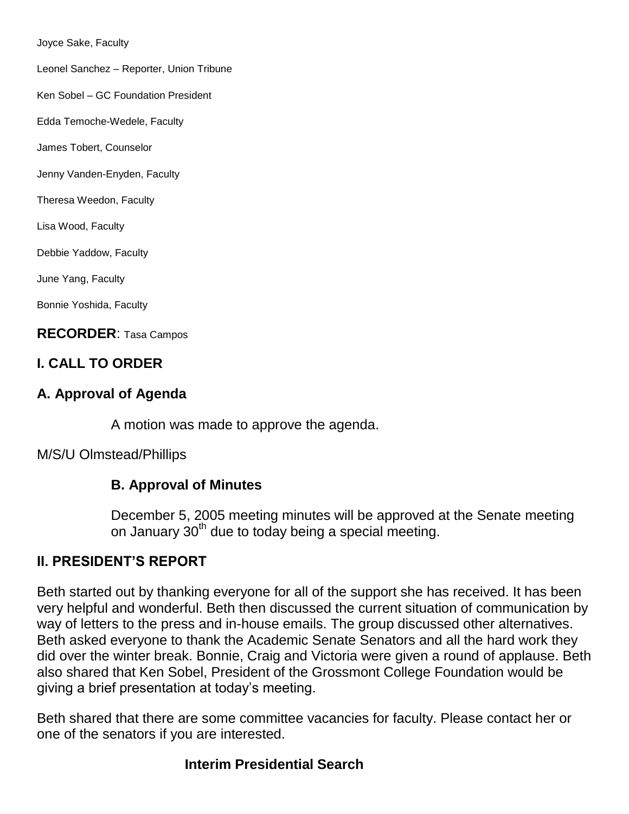Joyce Sake, Faculty

Leonel Sanchez – Reporter, Union Tribune

Ken Sobel – GC Foundation President

Edda Temoche-Wedele, Faculty

James Tobert, Counselor

Jenny Vanden-Enyden, Faculty

Theresa Weedon, Faculty

Lisa Wood, Faculty

Debbie Yaddow, Faculty

June Yang, Faculty

Bonnie Yoshida, Faculty

**RECORDER**: Tasa Campos

## **I. CALL TO ORDER**

## **A. Approval of Agenda**

A motion was made to approve the agenda.

M/S/U Olmstead/Phillips

## **B. Approval of Minutes**

December 5, 2005 meeting minutes will be approved at the Senate meeting on January 30<sup>th</sup> due to today being a special meeting.

## **II. PRESIDENT'S REPORT**

Beth started out by thanking everyone for all of the support she has received. It has been very helpful and wonderful. Beth then discussed the current situation of communication by way of letters to the press and in-house emails. The group discussed other alternatives. Beth asked everyone to thank the Academic Senate Senators and all the hard work they did over the winter break. Bonnie, Craig and Victoria were given a round of applause. Beth also shared that Ken Sobel, President of the Grossmont College Foundation would be giving a brief presentation at today's meeting.

Beth shared that there are some committee vacancies for faculty. Please contact her or one of the senators if you are interested.

## **Interim Presidential Search**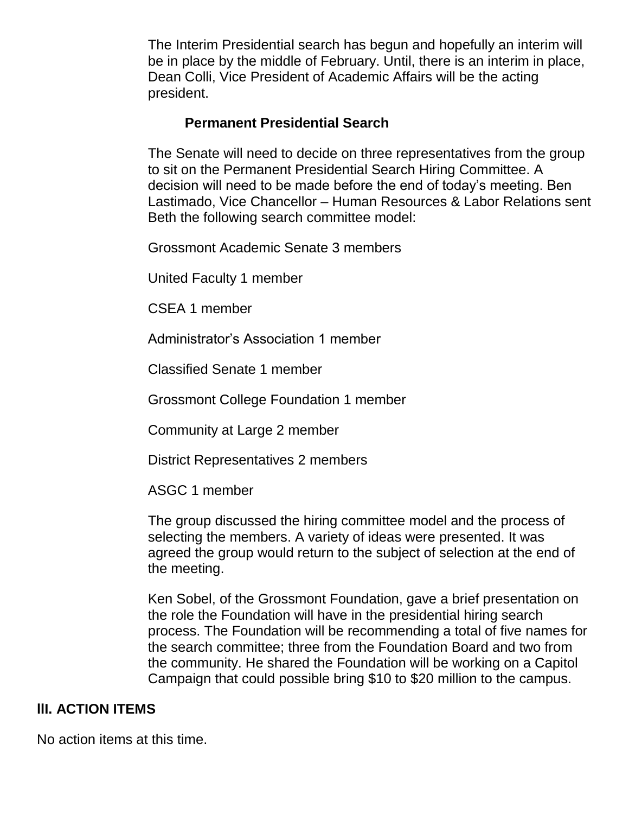The Interim Presidential search has begun and hopefully an interim will be in place by the middle of February. Until, there is an interim in place, Dean Colli, Vice President of Academic Affairs will be the acting president.

## **Permanent Presidential Search**

The Senate will need to decide on three representatives from the group to sit on the Permanent Presidential Search Hiring Committee. A decision will need to be made before the end of today's meeting. Ben Lastimado, Vice Chancellor – Human Resources & Labor Relations sent Beth the following search committee model:

Grossmont Academic Senate 3 members

United Faculty 1 member

CSEA 1 member

Administrator's Association 1 member

Classified Senate 1 member

Grossmont College Foundation 1 member

Community at Large 2 member

District Representatives 2 members

ASGC 1 member

The group discussed the hiring committee model and the process of selecting the members. A variety of ideas were presented. It was agreed the group would return to the subject of selection at the end of the meeting.

Ken Sobel, of the Grossmont Foundation, gave a brief presentation on the role the Foundation will have in the presidential hiring search process. The Foundation will be recommending a total of five names for the search committee; three from the Foundation Board and two from the community. He shared the Foundation will be working on a Capitol Campaign that could possible bring \$10 to \$20 million to the campus.

## **llI. ACTION ITEMS**

No action items at this time.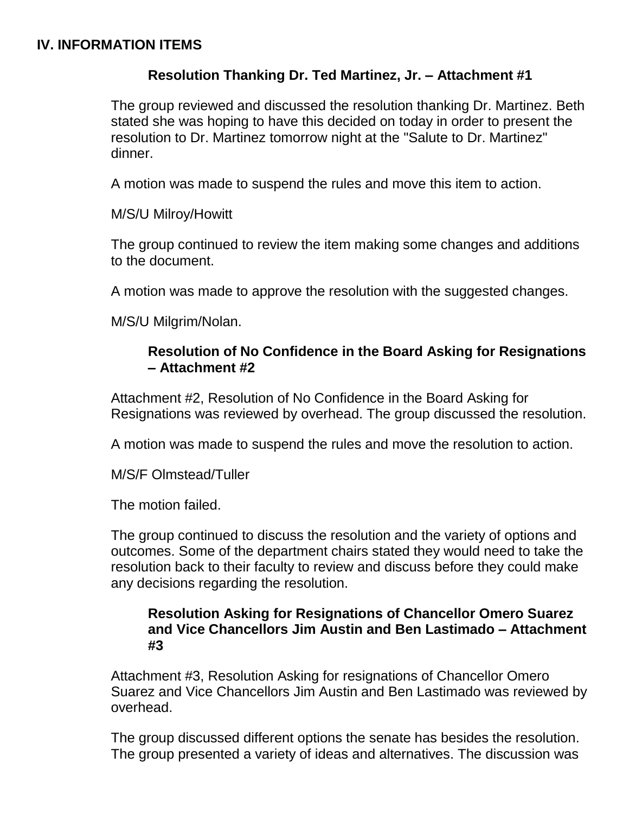#### **IV. INFORMATION ITEMS**

## **Resolution Thanking Dr. Ted Martinez, Jr. – Attachment #1**

The group reviewed and discussed the resolution thanking Dr. Martinez. Beth stated she was hoping to have this decided on today in order to present the resolution to Dr. Martinez tomorrow night at the "Salute to Dr. Martinez" dinner.

A motion was made to suspend the rules and move this item to action.

M/S/U Milroy/Howitt

The group continued to review the item making some changes and additions to the document.

A motion was made to approve the resolution with the suggested changes.

M/S/U Milgrim/Nolan.

## **Resolution of No Confidence in the Board Asking for Resignations – Attachment #2**

Attachment #2, Resolution of No Confidence in the Board Asking for Resignations was reviewed by overhead. The group discussed the resolution.

A motion was made to suspend the rules and move the resolution to action.

M/S/F Olmstead/Tuller

The motion failed.

The group continued to discuss the resolution and the variety of options and outcomes. Some of the department chairs stated they would need to take the resolution back to their faculty to review and discuss before they could make any decisions regarding the resolution.

#### **Resolution Asking for Resignations of Chancellor Omero Suarez and Vice Chancellors Jim Austin and Ben Lastimado – Attachment #3**

Attachment #3, Resolution Asking for resignations of Chancellor Omero Suarez and Vice Chancellors Jim Austin and Ben Lastimado was reviewed by overhead.

The group discussed different options the senate has besides the resolution. The group presented a variety of ideas and alternatives. The discussion was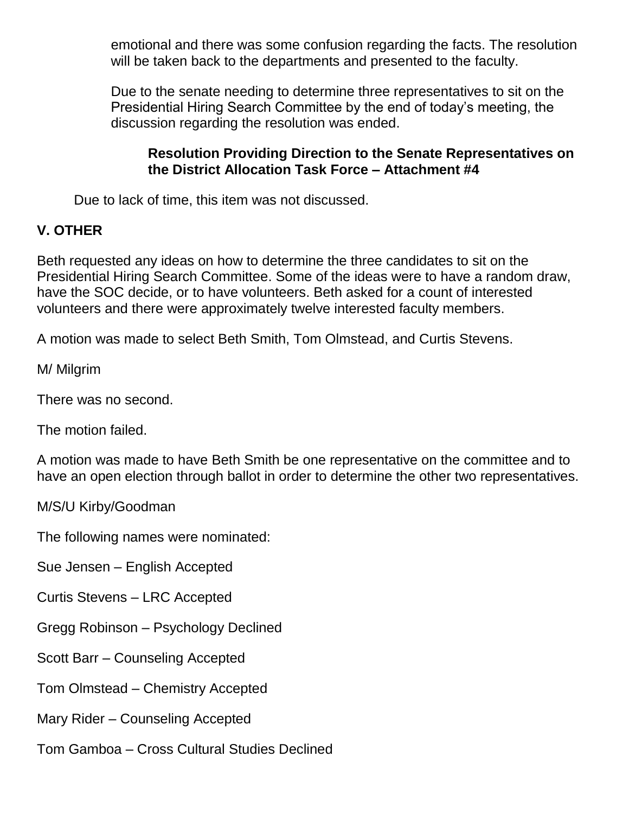emotional and there was some confusion regarding the facts. The resolution will be taken back to the departments and presented to the faculty.

Due to the senate needing to determine three representatives to sit on the Presidential Hiring Search Committee by the end of today's meeting, the discussion regarding the resolution was ended.

## **Resolution Providing Direction to the Senate Representatives on the District Allocation Task Force – Attachment #4**

Due to lack of time, this item was not discussed.

## **V. OTHER**

Beth requested any ideas on how to determine the three candidates to sit on the Presidential Hiring Search Committee. Some of the ideas were to have a random draw, have the SOC decide, or to have volunteers. Beth asked for a count of interested volunteers and there were approximately twelve interested faculty members.

A motion was made to select Beth Smith, Tom Olmstead, and Curtis Stevens.

M/ Milgrim

There was no second.

The motion failed.

A motion was made to have Beth Smith be one representative on the committee and to have an open election through ballot in order to determine the other two representatives.

M/S/U Kirby/Goodman

The following names were nominated:

Sue Jensen – English Accepted

Curtis Stevens – LRC Accepted

Gregg Robinson – Psychology Declined

Scott Barr – Counseling Accepted

Tom Olmstead – Chemistry Accepted

Mary Rider – Counseling Accepted

Tom Gamboa – Cross Cultural Studies Declined